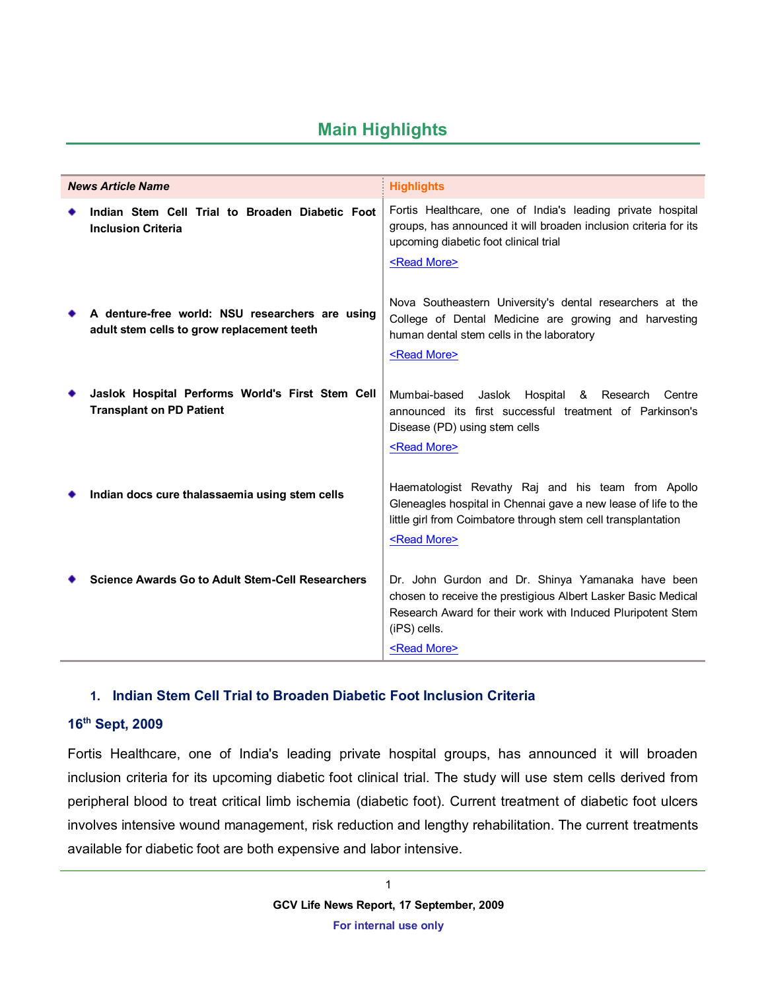# **Main Highlights**

| <b>News Article Name</b>                                                                      | <b>Highlights</b>                                                                                                                                                                                                          |
|-----------------------------------------------------------------------------------------------|----------------------------------------------------------------------------------------------------------------------------------------------------------------------------------------------------------------------------|
| Indian Stem Cell Trial to Broaden Diabetic Foot<br><b>Inclusion Criteria</b>                  | Fortis Healthcare, one of India's leading private hospital<br>groups, has announced it will broaden inclusion criteria for its<br>upcoming diabetic foot clinical trial<br><read more=""></read>                           |
| A denture-free world: NSU researchers are using<br>adult stem cells to grow replacement teeth | Nova Southeastern University's dental researchers at the<br>College of Dental Medicine are growing and harvesting<br>human dental stem cells in the laboratory<br><read more=""></read>                                    |
| Jaslok Hospital Performs World's First Stem Cell<br><b>Transplant on PD Patient</b>           | Mumbai-based Jaslok<br>Hospital & Research<br>Centre<br>announced its first successful treatment of Parkinson's<br>Disease (PD) using stem cells<br><read more=""></read>                                                  |
| Indian docs cure thalassaemia using stem cells                                                | Haematologist Revathy Raj and his team from Apollo<br>Gleneagles hospital in Chennai gave a new lease of life to the<br>little girl from Coimbatore through stem cell transplantation<br><read more=""></read>             |
| <b>Science Awards Go to Adult Stem-Cell Researchers</b>                                       | Dr. John Gurdon and Dr. Shinya Yamanaka have been<br>chosen to receive the prestigious Albert Lasker Basic Medical<br>Research Award for their work with Induced Pluripotent Stem<br>(iPS) cells.<br><read more=""></read> |

### <span id="page-0-0"></span>**1. Indian Stem Cell Trial to Broaden Diabetic Foot Inclusion Criteria**

### **16th Sept, 2009**

Fortis Healthcare, one of India's leading private hospital groups, has announced it will broaden inclusion criteria for its upcoming diabetic foot clinical trial. The study will use stem cells derived from peripheral blood to treat critical limb ischemia (diabetic foot). Current treatment of diabetic foot ulcers involves intensive wound management, risk reduction and lengthy rehabilitation. The current treatments available for diabetic foot are both expensive and labor intensive.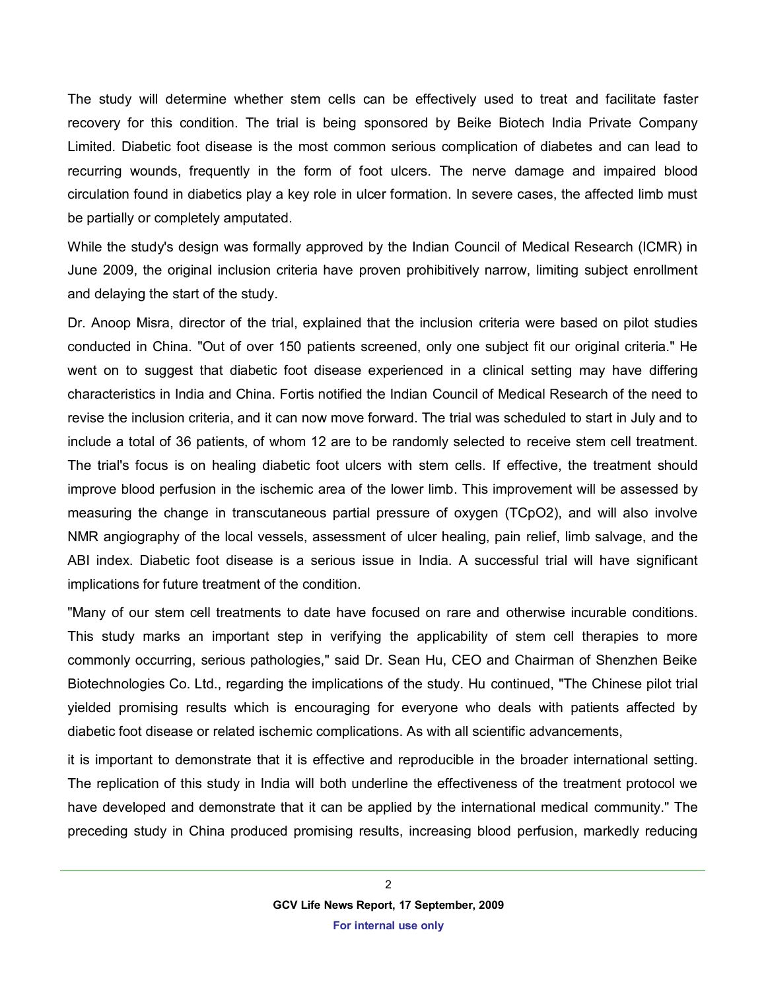The study will determine whether stem cells can be effectively used to treat and facilitate faster recovery for this condition. The trial is being sponsored by Beike Biotech India Private Company Limited. Diabetic foot disease is the most common serious complication of diabetes and can lead to recurring wounds, frequently in the form of foot ulcers. The nerve damage and impaired blood circulation found in diabetics play a key role in ulcer formation. In severe cases, the affected limb must be partially or completely amputated.

While the study's design was formally approved by the Indian Council of Medical Research (ICMR) in June 2009, the original inclusion criteria have proven prohibitively narrow, limiting subject enrollment and delaying the start of the study.

Dr. Anoop Misra, director of the trial, explained that the inclusion criteria were based on pilot studies conducted in China. "Out of over 150 patients screened, only one subject fit our original criteria." He went on to suggest that diabetic foot disease experienced in a clinical setting may have differing characteristics in India and China. Fortis notified the Indian Council of Medical Research of the need to revise the inclusion criteria, and it can now move forward. The trial was scheduled to start in July and to include a total of 36 patients, of whom 12 are to be randomly selected to receive stem cell treatment. The trial's focus is on healing diabetic foot ulcers with stem cells. If effective, the treatment should improve blood perfusion in the ischemic area of the lower limb. This improvement will be assessed by measuring the change in transcutaneous partial pressure of oxygen (TCpO2), and will also involve NMR angiography of the local vessels, assessment of ulcer healing, pain relief, limb salvage, and the ABI index. Diabetic foot disease is a serious issue in India. A successful trial will have significant implications for future treatment of the condition.

"Many of our stem cell treatments to date have focused on rare and otherwise incurable conditions. This study marks an important step in verifying the applicability of stem cell therapies to more commonly occurring, serious pathologies," said Dr. Sean Hu, CEO and Chairman of Shenzhen Beike Biotechnologies Co. Ltd., regarding the implications of the study. Hu continued, "The Chinese pilot trial yielded promising results which is encouraging for everyone who deals with patients affected by diabetic foot disease or related ischemic complications. As with all scientific advancements,

it is important to demonstrate that it is effective and reproducible in the broader international setting. The replication of this study in India will both underline the effectiveness of the treatment protocol we have developed and demonstrate that it can be applied by the international medical community." The preceding study in China produced promising results, increasing blood perfusion, markedly reducing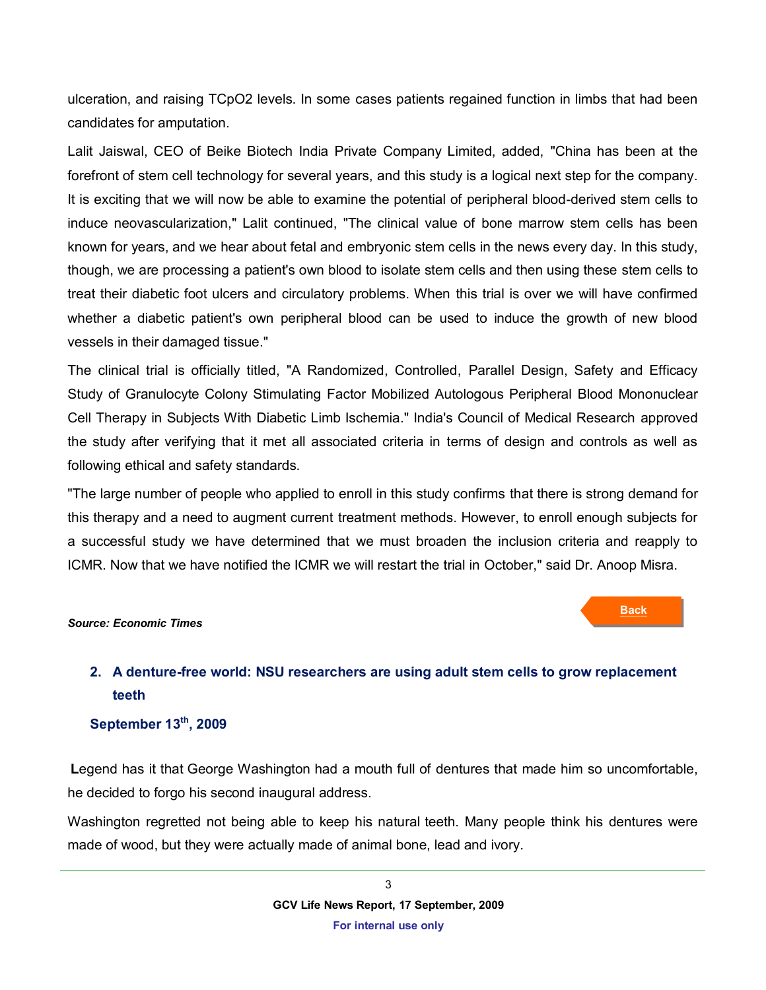ulceration, and raising TCpO2 levels. In some cases patients regained function in limbs that had been candidates for amputation.

Lalit Jaiswal, CEO of Beike Biotech India Private Company Limited, added, "China has been at the forefront of stem cell technology for several years, and this study is a logical next step for the company. It is exciting that we will now be able to examine the potential of peripheral blood-derived stem cells to induce neovascularization," Lalit continued, "The clinical value of bone marrow stem cells has been known for years, and we hear about fetal and embryonic stem cells in the news every day. In this study, though, we are processing a patient's own blood to isolate stem cells and then using these stem cells to treat their diabetic foot ulcers and circulatory problems. When this trial is over we will have confirmed whether a diabetic patient's own peripheral blood can be used to induce the growth of new blood vessels in their damaged tissue."

The clinical trial is officially titled, "A Randomized, Controlled, Parallel Design, Safety and Efficacy Study of Granulocyte Colony Stimulating Factor Mobilized Autologous Peripheral Blood Mononuclear Cell Therapy in Subjects With Diabetic Limb Ischemia." India's Council of Medical Research approved the study after verifying that it met all associated criteria in terms of design and controls as well as following ethical and safety standards.

"The large number of people who applied to enroll in this study confirms that there is strong demand for this therapy and a need to augment current treatment methods. However, to enroll enough subjects for a successful study we have determined that we must broaden the inclusion criteria and reapply to ICMR. Now that we have notified the ICMR we will restart the trial in October," said Dr. Anoop Misra.

#### *Source: Economic Times*

**Back**

## <span id="page-2-0"></span>**2. A denture-free world: NSU researchers are using adult stem cells to grow replacement teeth**

#### **September 13th, 2009**

**L**egend has it that George Washington had a mouth full of dentures that made him so uncomfortable, he decided to forgo his second inaugural address.

Washington regretted not being able to keep his natural teeth. Many people think his dentures were made of wood, but they were actually made of animal bone, lead and ivory.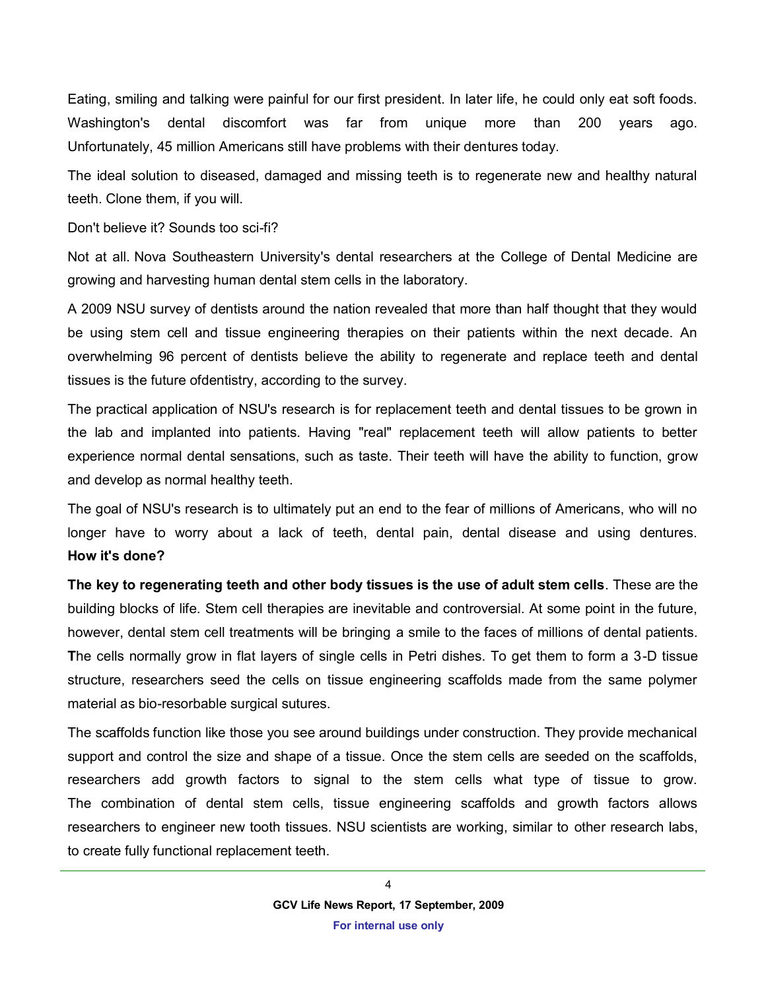Eating, smiling and talking were painful for our first president. In later life, he could only eat soft foods. Washington's dental discomfort was far from unique more than 200 years ago. Unfortunately, 45 million Americans still have problems with their dentures today.

The ideal solution to diseased, damaged and missing teeth is to regenerate new and healthy natural teeth. Clone them, if you will.

Don't believe it? Sounds too sci-fi?

Not at all. [Nova Southeastern University'](http://www.sun-sentinel.com/topic/education/colleges-universities/nova-southeastern-university-OREDU0000134.topic)s dental researchers at the College of Dental Medicine are growing and harvesting human dental stem cells in the laboratory.

A 2009 NSU survey of dentists around the nation revealed that more than half thought that they would be using stem cell and tissue engineering therapies on their patients within the next decade. An overwhelming 96 percent of dentists believe the ability to regenerate and replace teeth and dental tissues is the future o[fdentistry,](http://www.sun-sentinel.com/topic/health/dentistry/dentistry-HEDNT00002.topic) according to the survey.

The practical application of NSU's research is for replacement teeth and dental tissues to be grown in the lab and implanted into patients. Having "real" replacement teeth will allow patients to better experience normal dental sensations, such as taste. Their teeth will have the ability to function, grow and develop as normal healthy teeth.

The goal of NSU's research is to ultimately put an end to the fear of millions of Americans, who will no longer have to worry about a lack of teeth, dental pain, dental disease and using dentures. **How it's done?**

**The key to regenerating teeth and other body tissues is the use of adult stem cells**. These are the building blocks of life. Stem cell therapies are inevitable and controversial. At some point in the future, however, dental stem cell treatments will be bringing a smile to the faces of millions of dental patients. **T**he cells normally grow in flat layers of single cells in Petri dishes. To get them to form a 3-D tissue structure, researchers seed the cells on tissue engineering scaffolds made from the same polymer material as bio-resorbable surgical sutures.

The scaffolds function like those you see around buildings under construction. They provide mechanical support and control the size and shape of a tissue. Once the stem cells are seeded on the scaffolds, researchers add growth factors to signal to the stem cells what type of tissue to grow. The combination of dental stem cells, tissue engineering scaffolds and growth factors allows researchers to engineer new tooth tissues. NSU scientists are working, similar to other research labs, to create fully functional replacement teeth.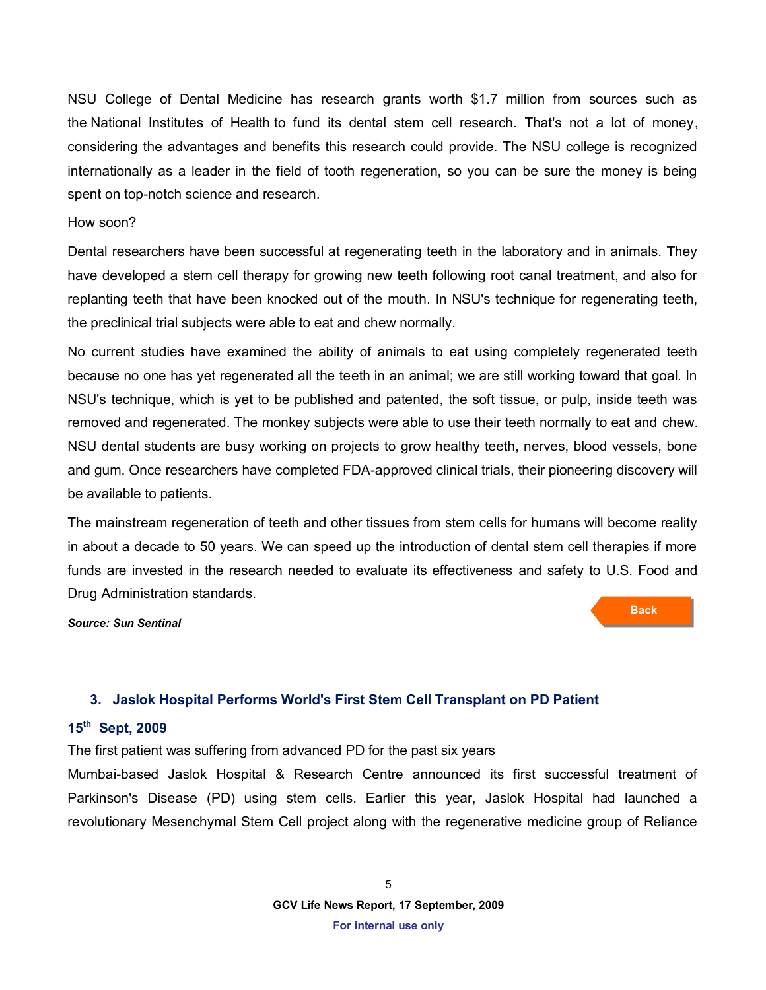NSU College of Dental Medicine has research grants worth \$1.7 million from sources such as the National Institutes of Health to fund its dental stem cell research. That's not a lot of money, considering the advantages and benefits this research could provide. The NSU college is recognized internationally as a leader in the field of tooth regeneration, so you can be sure the money is being spent on top-notch science and research.

#### How soon?

Dental researchers have been successful at regenerating teeth in the laboratory and in animals. They have developed a stem cell therapy for growing new teeth following root canal treatment, and also for replanting teeth that have been knocked out of the mouth. In NSU's technique for regenerating teeth, the preclinical trial subjects were able to eat and chew normally.

No current studies have examined the ability of animals to eat using completely regenerated teeth because no one has yet regenerated all the teeth in an animal; we are still working toward that goal. In NSU's technique, which is yet to be published and patented, the soft tissue, or pulp, inside teeth was removed and regenerated. The monkey subjects were able to use their teeth normally to eat and chew. NSU dental students are busy working on projects to grow healthy teeth, nerves, blood vessels, bone and gum. Once researchers have completed FDA-approved clinical trials, their pioneering discovery will be available to patients.

The mainstream regeneration of teeth and other tissues from stem cells for humans will become reality in about a decade to 50 years. We can speed up the introduction of dental stem cell therapies if more funds are invested in the research needed to evaluate its effectiveness and safety to U.S. Food and Drug Administration standards.

*Source: Sun Sentinal* 

**Back**

### <span id="page-4-0"></span>**3. Jaslok Hospital Performs World's First Stem Cell Transplant on PD Patient**

#### **15th Sept, 2009**

The first patient was suffering from advanced PD for the past six years

Mumbai-based Jaslok Hospital & Research Centre announced its first successful treatment of Parkinson's Disease (PD) using stem cells. Earlier this year, Jaslok Hospital had launched a revolutionary Mesenchymal Stem Cell project along with the regenerative medicine group of Reliance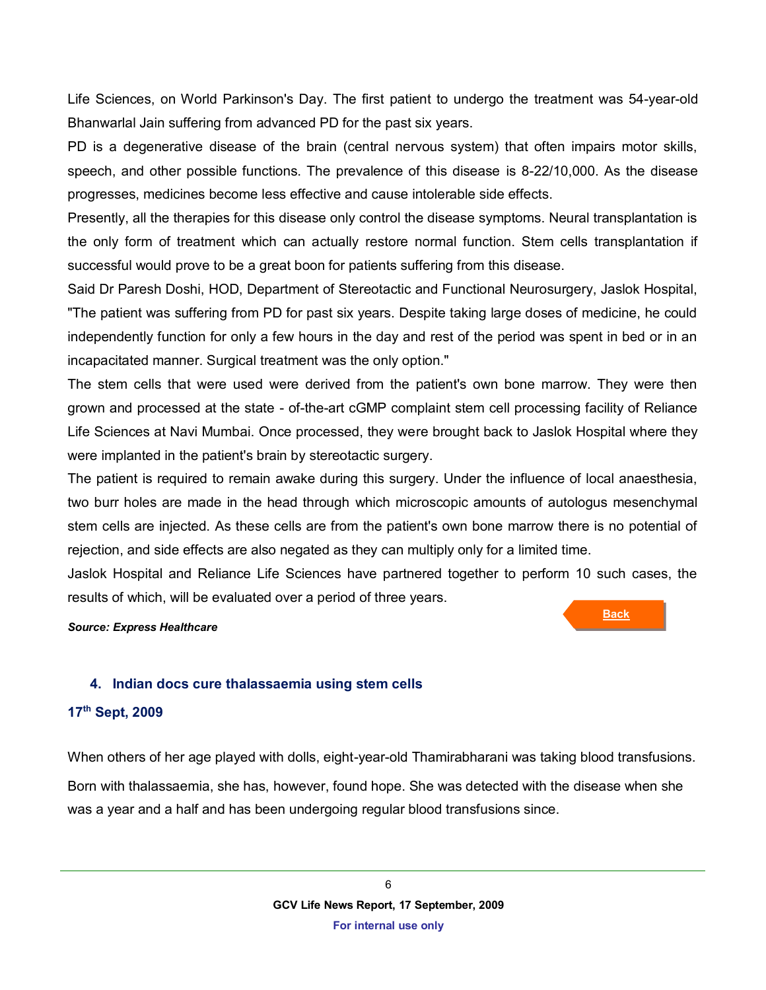Life Sciences, on World Parkinson's Day. The first patient to undergo the treatment was 54-year-old Bhanwarlal Jain suffering from advanced PD for the past six years.

PD is a degenerative disease of the brain (central nervous system) that often impairs motor skills, speech, and other possible functions. The prevalence of this disease is 8-22/10,000. As the disease progresses, medicines become less effective and cause intolerable side effects.

Presently, all the therapies for this disease only control the disease symptoms. Neural transplantation is the only form of treatment which can actually restore normal function. Stem cells transplantation if successful would prove to be a great boon for patients suffering from this disease.

Said Dr Paresh Doshi, HOD, Department of Stereotactic and Functional Neurosurgery, Jaslok Hospital, "The patient was suffering from PD for past six years. Despite taking large doses of medicine, he could independently function for only a few hours in the day and rest of the period was spent in bed or in an incapacitated manner. Surgical treatment was the only option."

The stem cells that were used were derived from the patient's own bone marrow. They were then grown and processed at the state - of-the-art cGMP complaint stem cell processing facility of Reliance Life Sciences at Navi Mumbai. Once processed, they were brought back to Jaslok Hospital where they were implanted in the patient's brain by stereotactic surgery.

The patient is required to remain awake during this surgery. Under the influence of local anaesthesia, two burr holes are made in the head through which microscopic amounts of autologus mesenchymal stem cells are injected. As these cells are from the patient's own bone marrow there is no potential of rejection, and side effects are also negated as they can multiply only for a limited time.

Jaslok Hospital and Reliance Life Sciences have partnered together to perform 10 such cases, the results of which, will be evaluated over a period of three years.

#### *Source: Express Healthcare*

#### <span id="page-5-0"></span>**4. Indian docs cure thalassaemia using stem cells**

#### **17th Sept, 2009**

When others of her age played with dolls, eight-year-old Thamirabharani was taking blood transfusions. Born with thalassaemia, she has, however, found hope. She was detected with the disease when she was a year and a half and has been undergoing regular blood transfusions since.

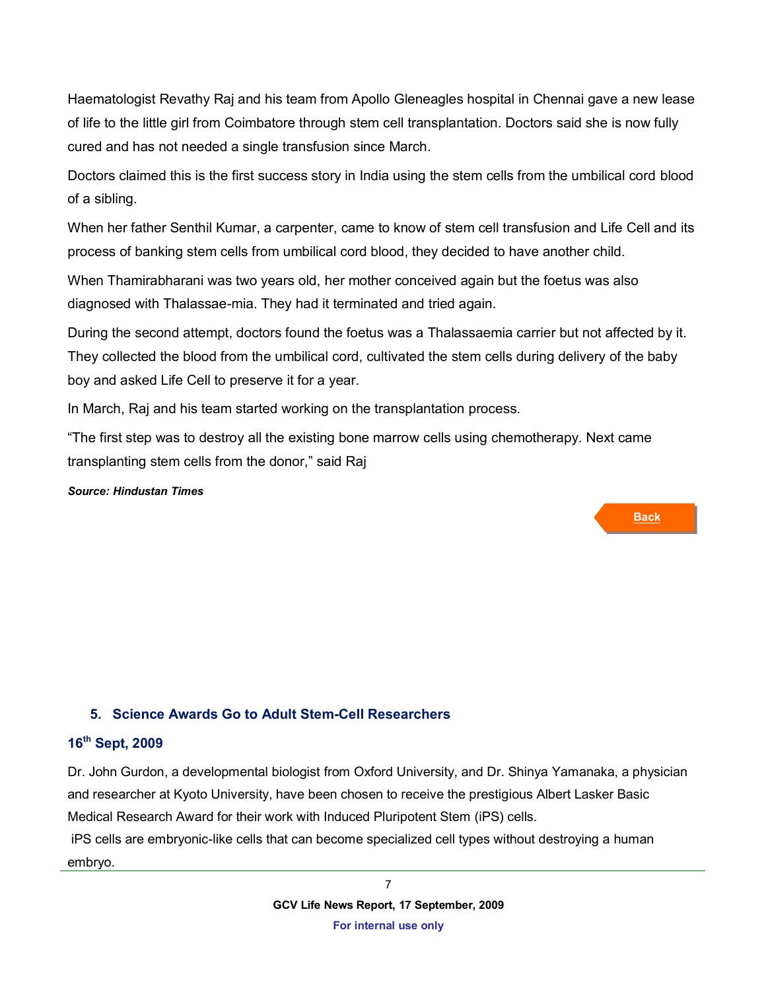Haematologist Revathy Raj and his team from Apollo Gleneagles hospital in Chennai gave a new lease of life to the little girl from Coimbatore through stem cell transplantation. Doctors said she is now fully cured and has not needed a single transfusion since March.

Doctors claimed this is the first success story in India using the stem cells from the umbilical cord blood of a sibling.

When her father Senthil Kumar, a carpenter, came to know of stem cell transfusion and Life Cell and its process of banking stem cells from umbilical cord blood, they decided to have another child.

When Thamirabharani was two years old, her mother conceived again but the foetus was also diagnosed with Thalassae-mia. They had it terminated and tried again.

During the second attempt, doctors found the foetus was a Thalassaemia carrier but not affected by it. They collected the blood from the umbilical cord, cultivated the stem cells during delivery of the baby boy and asked Life Cell to preserve it for a year.

In March, Raj and his team started working on the transplantation process.

"The first step was to destroy all the existing bone marrow cells using chemotherapy. Next came transplanting stem cells from the donor," said Raj

#### *Source: Hindustan Times*

#### **Back**

#### <span id="page-6-0"></span>**5. Science Awards Go to Adult Stem-Cell Researchers**

#### **16th Sept, 2009**

Dr. John Gurdon, a developmental biologist from Oxford University, and Dr. Shinya Yamanaka, a physician and researcher at Kyoto University, have been chosen to receive the prestigious Albert Lasker Basic Medical Research Award for their work with Induced Pluripotent Stem (iPS) cells. iPS cells are embryonic-like cells that can become specialized cell types without destroying a human embryo.